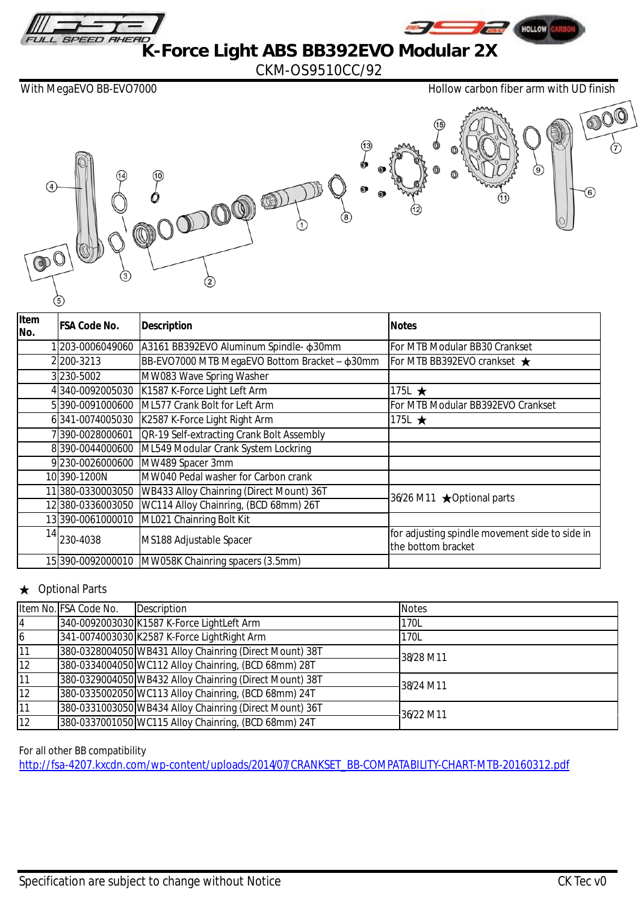

HOLLOW

**K-Force Light ABS BB392EVO Modular 2X** 

CKM-OS9510CC/92

With MegaEVO BB-EVO7000 **Hollow carbon fiber arm with UD finish** 



| Item<br>No. | FSA Code No.     | <b>Description</b>                                 | <b>Notes</b>                                                         |
|-------------|------------------|----------------------------------------------------|----------------------------------------------------------------------|
|             | 203-0006049060   | A3161 BB392EVO Aluminum Spindle- \$30mm            | For MTB Modular BB30 Crankset                                        |
|             | 2200-3213        | BB-EVO7000 MTB MegaEVO Bottom Bracket - \$30mm     | For MTB BB392EVO crankset $\bigstar$                                 |
|             | 3230-5002        | MW083 Wave Spring Washer                           |                                                                      |
|             | 340-0092005030   | K1587 K-Force Light Left Arm                       | 175L $\star$                                                         |
|             | 5390-0091000600  | ML577 Crank Bolt for Left Arm                      | For MTB Modular BB392EVO Crankset                                    |
|             | 6341-0074005030  | K2587 K-Force Light Right Arm                      | 175L $\star$                                                         |
|             | 390-0028000601   | <b>QR-19 Self-extracting Crank Bolt Assembly</b>   |                                                                      |
|             | 8390-0044000600  | ML549 Modular Crank System Lockring                |                                                                      |
|             | 9230-0026000600  | MW489 Spacer 3mm                                   |                                                                      |
|             | 10390-1200N      | MW040 Pedal washer for Carbon crank                |                                                                      |
|             | 11380-0330003050 | WB433 Alloy Chainring (Direct Mount) 36T           | 36/26 M11 ★ Optional parts                                           |
|             | 12380-0336003050 | WC114 Alloy Chainring, (BCD 68mm) 26T              |                                                                      |
|             | 13390-0061000010 | ML021 Chainring Bolt Kit                           |                                                                      |
| 14          | 230-4038         | MS188 Adjustable Spacer                            | for adjusting spindle movement side to side in<br>the bottom bracket |
|             |                  | 15 390-0092000010 MW058K Chainring spacers (3.5mm) |                                                                      |

## **Optional Parts**

|                 | Item No. FSA Code No. | Description                                             | <b>Notes</b> |
|-----------------|-----------------------|---------------------------------------------------------|--------------|
| 4               |                       | 340-0092003030 K1587 K-Force LightLeft Arm              | 170L         |
| $\overline{6}$  |                       | 341-0074003030 K2587 K-Force LightRight Arm             | 170L         |
| $\overline{11}$ |                       | 380-0328004050 WB431 Alloy Chainring (Direct Mount) 38T | 38/28 M11    |
| 12              |                       | 380-0334004050 WC112 Alloy Chainring, (BCD 68mm) 28T    |              |
| $\overline{11}$ |                       | 380-0329004050 WB432 Alloy Chainring (Direct Mount) 38T | 38/24 M11    |
| $\overline{12}$ |                       | 380-0335002050 WC113 Alloy Chainring, (BCD 68mm) 24T    |              |
| $\overline{11}$ |                       | 380-0331003050 WB434 Alloy Chainring (Direct Mount) 36T | 36/22 M11    |
| $\overline{12}$ |                       | 380-0337001050 WC115 Alloy Chainring, (BCD 68mm) 24T    |              |

For all other BB compatibility

[http://fsa-4207.kxcdn.com/wp-content/uploads/2014/07/CRANKSET\\_BB-COMPATABILITY-CHART-MTB-20160312.pdf](http://fsa-4207.kxcdn.com/wp-content/uploads/2014/07/CRANKSET_BB-COMPATABILITY-CHART-MTB-20160312.pdf)